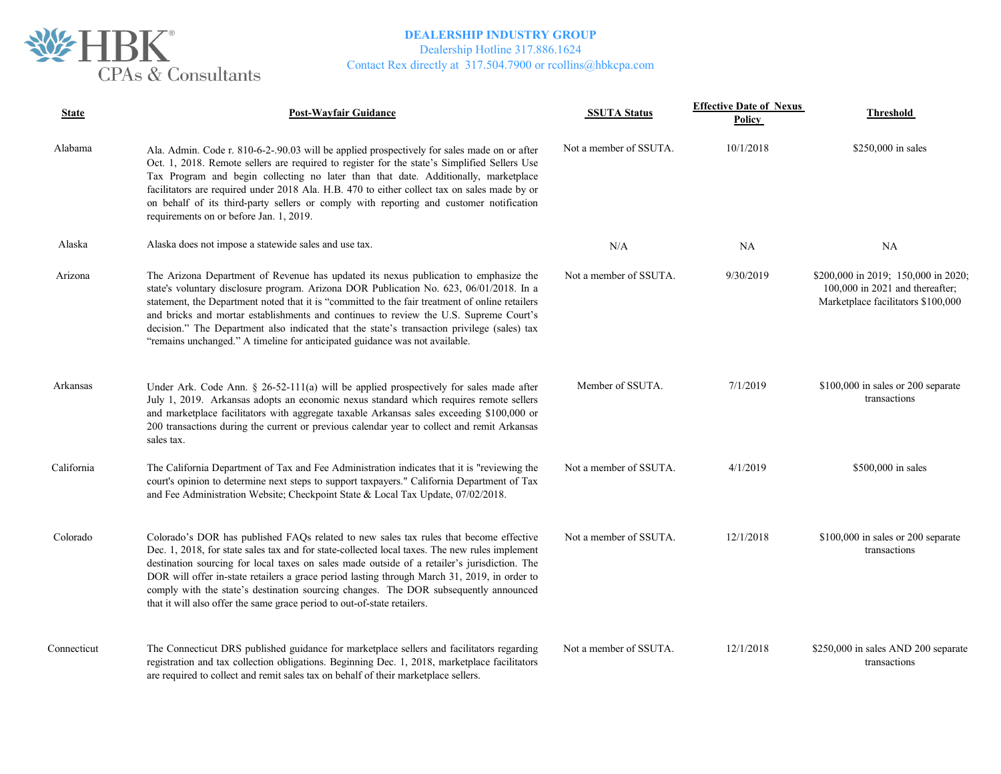

Dealership Hotline 317.886.1624

| <b>State</b> | <b>Post-Wayfair Guidance</b>                                                                                                                                                                                                                                                                                                                                                                                                                                                                                                                                 | <b>SSUTA Status</b>    | <b>Effective Date of Nexus</b><br>Policy | Threshold                                                                                                      |
|--------------|--------------------------------------------------------------------------------------------------------------------------------------------------------------------------------------------------------------------------------------------------------------------------------------------------------------------------------------------------------------------------------------------------------------------------------------------------------------------------------------------------------------------------------------------------------------|------------------------|------------------------------------------|----------------------------------------------------------------------------------------------------------------|
| Alabama      | Ala. Admin. Code r. 810-6-2-.90.03 will be applied prospectively for sales made on or after<br>Oct. 1, 2018. Remote sellers are required to register for the state's Simplified Sellers Use<br>Tax Program and begin collecting no later than that date. Additionally, marketplace<br>facilitators are required under 2018 Ala. H.B. 470 to either collect tax on sales made by or<br>on behalf of its third-party sellers or comply with reporting and customer notification<br>requirements on or before Jan. 1, 2019.                                     | Not a member of SSUTA. | 10/1/2018                                | $$250,000$ in sales                                                                                            |
| Alaska       | Alaska does not impose a statewide sales and use tax.                                                                                                                                                                                                                                                                                                                                                                                                                                                                                                        | N/A                    | <b>NA</b>                                | <b>NA</b>                                                                                                      |
| Arizona      | The Arizona Department of Revenue has updated its nexus publication to emphasize the<br>state's voluntary disclosure program. Arizona DOR Publication No. 623, 06/01/2018. In a<br>statement, the Department noted that it is "committed to the fair treatment of online retailers<br>and bricks and mortar establishments and continues to review the U.S. Supreme Court's<br>decision." The Department also indicated that the state's transaction privilege (sales) tax<br>"remains unchanged." A timeline for anticipated guidance was not available.    | Not a member of SSUTA. | 9/30/2019                                | \$200,000 in 2019; 150,000 in 2020;<br>$100,000$ in 2021 and thereafter;<br>Marketplace facilitators \$100,000 |
| Arkansas     | Under Ark. Code Ann. § 26-52-111(a) will be applied prospectively for sales made after<br>July 1, 2019. Arkansas adopts an economic nexus standard which requires remote sellers<br>and marketplace facilitators with aggregate taxable Arkansas sales exceeding \$100,000 or<br>200 transactions during the current or previous calendar year to collect and remit Arkansas<br>sales tax.                                                                                                                                                                   | Member of SSUTA.       | 7/1/2019                                 | \$100,000 in sales or 200 separate<br>transactions                                                             |
| California   | The California Department of Tax and Fee Administration indicates that it is "reviewing the<br>court's opinion to determine next steps to support taxpayers." California Department of Tax<br>and Fee Administration Website; Checkpoint State & Local Tax Update, 07/02/2018.                                                                                                                                                                                                                                                                               | Not a member of SSUTA. | 4/1/2019                                 | \$500,000 in sales                                                                                             |
| Colorado     | Colorado's DOR has published FAQs related to new sales tax rules that become effective<br>Dec. 1, 2018, for state sales tax and for state-collected local taxes. The new rules implement<br>destination sourcing for local taxes on sales made outside of a retailer's jurisdiction. The<br>DOR will offer in-state retailers a grace period lasting through March 31, 2019, in order to<br>comply with the state's destination sourcing changes. The DOR subsequently announced<br>that it will also offer the same grace period to out-of-state retailers. | Not a member of SSUTA. | 12/1/2018                                | \$100,000 in sales or 200 separate<br>transactions                                                             |
| Connecticut  | The Connecticut DRS published guidance for marketplace sellers and facilitators regarding<br>registration and tax collection obligations. Beginning Dec. 1, 2018, marketplace facilitators<br>are required to collect and remit sales tax on behalf of their marketplace sellers.                                                                                                                                                                                                                                                                            | Not a member of SSUTA. | 12/1/2018                                | \$250,000 in sales AND 200 separate<br>transactions                                                            |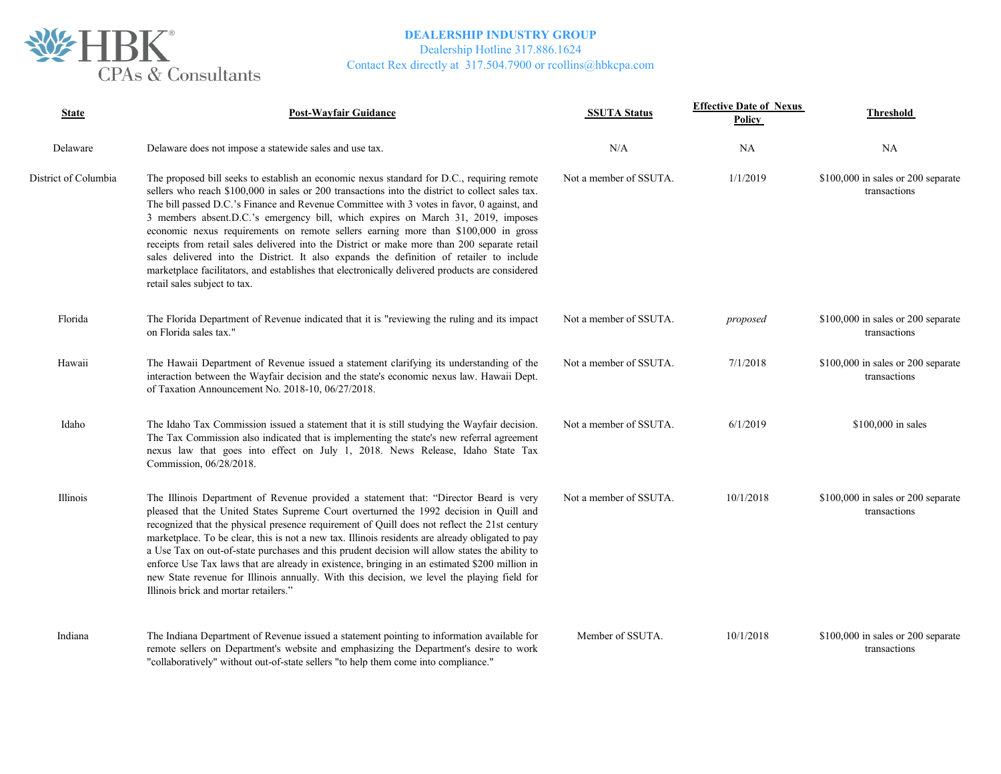

Dealership Hotline 317.886.1624

| <b>State</b>         | <b>Post-Wayfair Guidance</b>                                                                                                                                                                                                                                                                                                                                                                                                                                                                                                                                                                                                                                                                                                                                                                          | <b>SSUTA Status</b>    | <b>Effective Date of Nexus</b><br>Policy | <b>Threshold</b>                                    |
|----------------------|-------------------------------------------------------------------------------------------------------------------------------------------------------------------------------------------------------------------------------------------------------------------------------------------------------------------------------------------------------------------------------------------------------------------------------------------------------------------------------------------------------------------------------------------------------------------------------------------------------------------------------------------------------------------------------------------------------------------------------------------------------------------------------------------------------|------------------------|------------------------------------------|-----------------------------------------------------|
| Delaware             | Delaware does not impose a statewide sales and use tax.                                                                                                                                                                                                                                                                                                                                                                                                                                                                                                                                                                                                                                                                                                                                               | N/A                    | <b>NA</b>                                | NA                                                  |
| District of Columbia | The proposed bill seeks to establish an economic nexus standard for D.C., requiring remote<br>sellers who reach \$100,000 in sales or 200 transactions into the district to collect sales tax.<br>The bill passed D.C.'s Finance and Revenue Committee with 3 votes in favor, 0 against, and<br>3 members absent.D.C.'s emergency bill, which expires on March 31, 2019, imposes<br>economic nexus requirements on remote sellers earning more than \$100,000 in gross<br>receipts from retail sales delivered into the District or make more than 200 separate retail<br>sales delivered into the District. It also expands the definition of retailer to include<br>marketplace facilitators, and establishes that electronically delivered products are considered<br>retail sales subject to tax. | Not a member of SSUTA. | 1/1/2019                                 | $$100,000$ in sales or 200 separate<br>transactions |
| Florida              | The Florida Department of Revenue indicated that it is "reviewing the ruling and its impact<br>on Florida sales tax."                                                                                                                                                                                                                                                                                                                                                                                                                                                                                                                                                                                                                                                                                 | Not a member of SSUTA. | proposed                                 | $$100,000$ in sales or 200 separate<br>transactions |
| Hawaii               | The Hawaii Department of Revenue issued a statement clarifying its understanding of the<br>interaction between the Wayfair decision and the state's economic nexus law. Hawaii Dept.<br>of Taxation Announcement No. 2018-10, 06/27/2018.                                                                                                                                                                                                                                                                                                                                                                                                                                                                                                                                                             | Not a member of SSUTA. | 7/1/2018                                 | \$100,000 in sales or 200 separate<br>transactions  |
| Idaho                | The Idaho Tax Commission issued a statement that it is still studying the Wayfair decision.<br>The Tax Commission also indicated that is implementing the state's new referral agreement<br>nexus law that goes into effect on July 1, 2018. News Release, Idaho State Tax<br>Commission, 06/28/2018.                                                                                                                                                                                                                                                                                                                                                                                                                                                                                                 | Not a member of SSUTA. | 6/1/2019                                 | \$100,000 in sales                                  |
| Illinois             | The Illinois Department of Revenue provided a statement that: "Director Beard is very<br>pleased that the United States Supreme Court overturned the 1992 decision in Quill and<br>recognized that the physical presence requirement of Quill does not reflect the 21st century<br>marketplace. To be clear, this is not a new tax. Illinois residents are already obligated to pay<br>a Use Tax on out-of-state purchases and this prudent decision will allow states the ability to<br>enforce Use Tax laws that are already in existence, bringing in an estimated \$200 million in<br>new State revenue for Illinois annually. With this decision, we level the playing field for<br>Illinois brick and mortar retailers."                                                                        | Not a member of SSUTA. | 10/1/2018                                | \$100,000 in sales or 200 separate<br>transactions  |
| Indiana              | The Indiana Department of Revenue issued a statement pointing to information available for<br>remote sellers on Department's website and emphasizing the Department's desire to work<br>"collaboratively" without out-of-state sellers "to help them come into compliance."                                                                                                                                                                                                                                                                                                                                                                                                                                                                                                                           | Member of SSUTA.       | 10/1/2018                                | \$100,000 in sales or 200 separate<br>transactions  |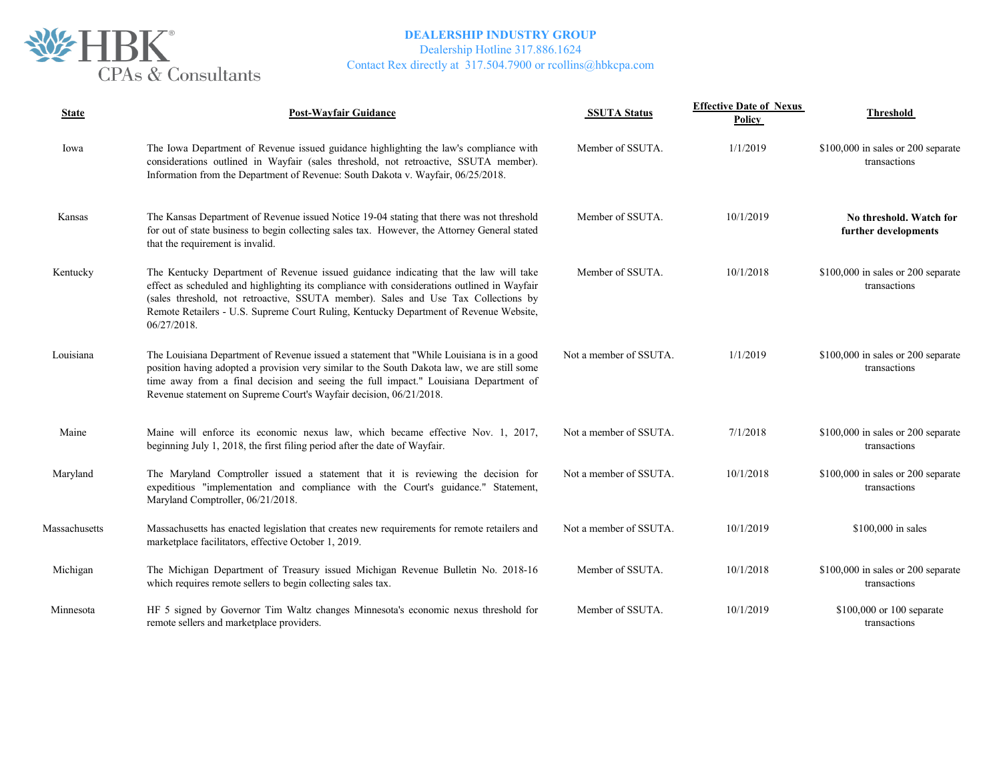

## **DEALERSHIP INDUSTRY GROUP** Dealership Hotline 317.886.1624

| <b>State</b>  | <b>Post-Wayfair Guidance</b>                                                                                                                                                                                                                                                                                                                                                      | <b>SSUTA Status</b>    | <b>Effective Date of Nexus</b><br><b>Policy</b> | <b>Threshold</b>                                    |
|---------------|-----------------------------------------------------------------------------------------------------------------------------------------------------------------------------------------------------------------------------------------------------------------------------------------------------------------------------------------------------------------------------------|------------------------|-------------------------------------------------|-----------------------------------------------------|
| Iowa          | The Iowa Department of Revenue issued guidance highlighting the law's compliance with<br>considerations outlined in Wayfair (sales threshold, not retroactive, SSUTA member).<br>Information from the Department of Revenue: South Dakota v. Wayfair, 06/25/2018.                                                                                                                 | Member of SSUTA.       | 1/1/2019                                        | \$100,000 in sales or 200 separate<br>transactions  |
| Kansas        | The Kansas Department of Revenue issued Notice 19-04 stating that there was not threshold<br>for out of state business to begin collecting sales tax. However, the Attorney General stated<br>that the requirement is invalid.                                                                                                                                                    | Member of SSUTA.       | 10/1/2019                                       | No threshold. Watch for<br>further developments     |
| Kentucky      | The Kentucky Department of Revenue issued guidance indicating that the law will take<br>effect as scheduled and highlighting its compliance with considerations outlined in Wayfair<br>(sales threshold, not retroactive, SSUTA member). Sales and Use Tax Collections by<br>Remote Retailers - U.S. Supreme Court Ruling, Kentucky Department of Revenue Website,<br>06/27/2018. | Member of SSUTA.       | 10/1/2018                                       | $$100,000$ in sales or 200 separate<br>transactions |
| Louisiana     | The Louisiana Department of Revenue issued a statement that "While Louisiana is in a good<br>position having adopted a provision very similar to the South Dakota law, we are still some<br>time away from a final decision and seeing the full impact." Louisiana Department of<br>Revenue statement on Supreme Court's Wayfair decision, 06/21/2018.                            | Not a member of SSUTA. | 1/1/2019                                        | \$100,000 in sales or 200 separate<br>transactions  |
| Maine         | Maine will enforce its economic nexus law, which became effective Nov. 1, 2017,<br>beginning July 1, 2018, the first filing period after the date of Wayfair.                                                                                                                                                                                                                     | Not a member of SSUTA. | 7/1/2018                                        | $$100,000$ in sales or 200 separate<br>transactions |
| Maryland      | The Maryland Comptroller issued a statement that it is reviewing the decision for<br>expeditious "implementation and compliance with the Court's guidance." Statement,<br>Maryland Comptroller, 06/21/2018.                                                                                                                                                                       | Not a member of SSUTA. | 10/1/2018                                       | $$100,000$ in sales or 200 separate<br>transactions |
| Massachusetts | Massachusetts has enacted legislation that creates new requirements for remote retailers and<br>marketplace facilitators, effective October 1, 2019.                                                                                                                                                                                                                              | Not a member of SSUTA. | 10/1/2019                                       | \$100,000 in sales                                  |
| Michigan      | The Michigan Department of Treasury issued Michigan Revenue Bulletin No. 2018-16<br>which requires remote sellers to begin collecting sales tax.                                                                                                                                                                                                                                  | Member of SSUTA.       | 10/1/2018                                       | $$100,000$ in sales or 200 separate<br>transactions |
| Minnesota     | HF 5 signed by Governor Tim Waltz changes Minnesota's economic nexus threshold for<br>remote sellers and marketplace providers.                                                                                                                                                                                                                                                   | Member of SSUTA.       | 10/1/2019                                       | \$100,000 or 100 separate<br>transactions           |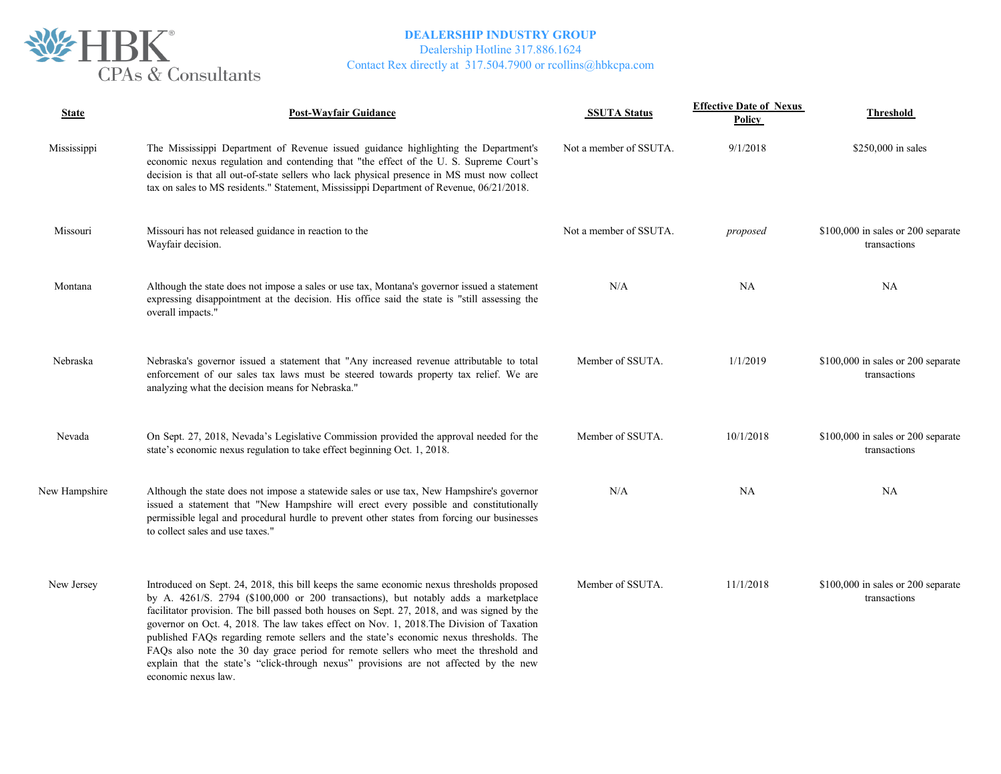

Dealership Hotline 317.886.1624

| <b>State</b>  | <b>Post-Wayfair Guidance</b>                                                                                                                                                                                                                                                                                                                                                                                                                                                                                                                                                                                                                                                 | <b>SSUTA Status</b>    | <b>Effective Date of Nexus</b><br>Policy | <b>Threshold</b>                                   |
|---------------|------------------------------------------------------------------------------------------------------------------------------------------------------------------------------------------------------------------------------------------------------------------------------------------------------------------------------------------------------------------------------------------------------------------------------------------------------------------------------------------------------------------------------------------------------------------------------------------------------------------------------------------------------------------------------|------------------------|------------------------------------------|----------------------------------------------------|
| Mississippi   | The Mississippi Department of Revenue issued guidance highlighting the Department's<br>economic nexus regulation and contending that "the effect of the U. S. Supreme Court's<br>decision is that all out-of-state sellers who lack physical presence in MS must now collect<br>tax on sales to MS residents." Statement, Mississippi Department of Revenue, 06/21/2018.                                                                                                                                                                                                                                                                                                     | Not a member of SSUTA. | 9/1/2018                                 | \$250,000 in sales                                 |
| Missouri      | Missouri has not released guidance in reaction to the<br>Wayfair decision.                                                                                                                                                                                                                                                                                                                                                                                                                                                                                                                                                                                                   | Not a member of SSUTA. | proposed                                 | \$100,000 in sales or 200 separate<br>transactions |
| Montana       | Although the state does not impose a sales or use tax, Montana's governor issued a statement<br>expressing disappointment at the decision. His office said the state is "still assessing the<br>overall impacts."                                                                                                                                                                                                                                                                                                                                                                                                                                                            | N/A                    | NA                                       | NA                                                 |
| Nebraska      | Nebraska's governor issued a statement that "Any increased revenue attributable to total<br>enforcement of our sales tax laws must be steered towards property tax relief. We are<br>analyzing what the decision means for Nebraska."                                                                                                                                                                                                                                                                                                                                                                                                                                        | Member of SSUTA.       | 1/1/2019                                 | \$100,000 in sales or 200 separate<br>transactions |
| Nevada        | On Sept. 27, 2018, Nevada's Legislative Commission provided the approval needed for the<br>state's economic nexus regulation to take effect beginning Oct. 1, 2018.                                                                                                                                                                                                                                                                                                                                                                                                                                                                                                          | Member of SSUTA.       | 10/1/2018                                | \$100,000 in sales or 200 separate<br>transactions |
| New Hampshire | Although the state does not impose a statewide sales or use tax, New Hampshire's governor<br>issued a statement that "New Hampshire will erect every possible and constitutionally<br>permissible legal and procedural hurdle to prevent other states from forcing our businesses<br>to collect sales and use taxes."                                                                                                                                                                                                                                                                                                                                                        | N/A                    | <b>NA</b>                                | NA                                                 |
| New Jersey    | Introduced on Sept. 24, 2018, this bill keeps the same economic nexus thresholds proposed<br>by A. 4261/S. 2794 (\$100,000 or 200 transactions), but notably adds a marketplace<br>facilitator provision. The bill passed both houses on Sept. 27, 2018, and was signed by the<br>governor on Oct. 4, 2018. The law takes effect on Nov. 1, 2018. The Division of Taxation<br>published FAQs regarding remote sellers and the state's economic nexus thresholds. The<br>FAQs also note the 30 day grace period for remote sellers who meet the threshold and<br>explain that the state's "click-through nexus" provisions are not affected by the new<br>economic nexus law. | Member of SSUTA.       | 11/1/2018                                | \$100,000 in sales or 200 separate<br>transactions |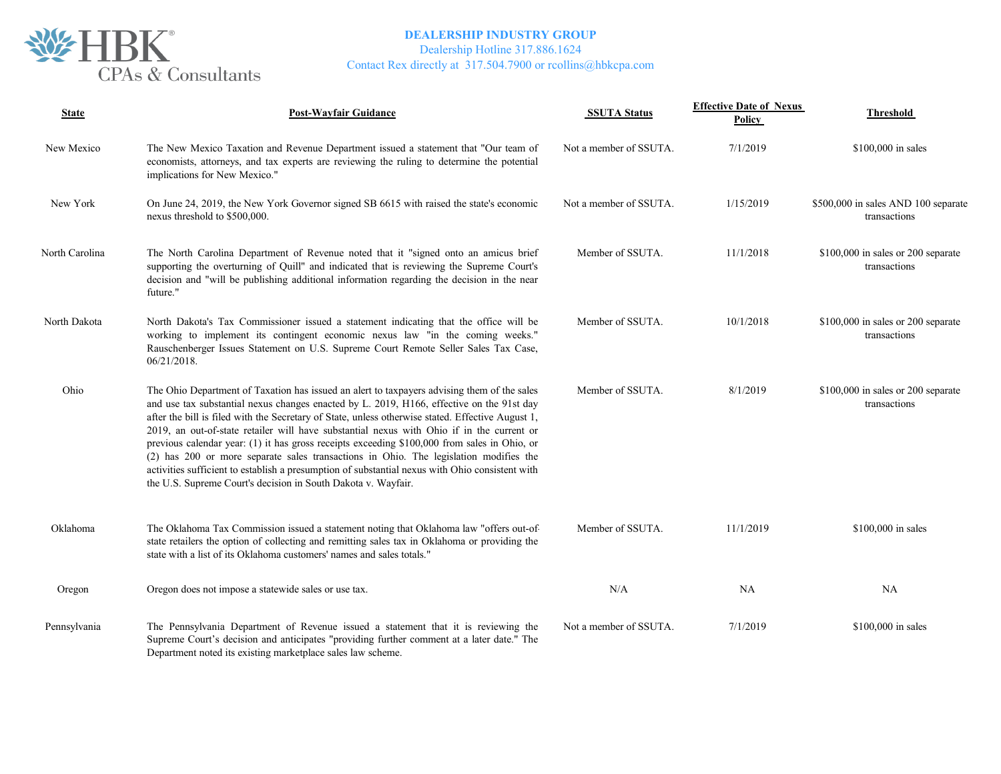

Dealership Hotline 317.886.1624

| <b>State</b>   | <b>Post-Wayfair Guidance</b>                                                                                                                                                                                                                                                                                                                                                                                                                                                                                                                                                                                                                                                                                                                            | <b>SSUTA Status</b>    | <b>Effective Date of Nexus</b><br>Policy | <b>Threshold</b>                                    |
|----------------|---------------------------------------------------------------------------------------------------------------------------------------------------------------------------------------------------------------------------------------------------------------------------------------------------------------------------------------------------------------------------------------------------------------------------------------------------------------------------------------------------------------------------------------------------------------------------------------------------------------------------------------------------------------------------------------------------------------------------------------------------------|------------------------|------------------------------------------|-----------------------------------------------------|
| New Mexico     | The New Mexico Taxation and Revenue Department issued a statement that "Our team of<br>economists, attorneys, and tax experts are reviewing the ruling to determine the potential<br>implications for New Mexico."                                                                                                                                                                                                                                                                                                                                                                                                                                                                                                                                      | Not a member of SSUTA. | 7/1/2019                                 | \$100,000 in sales                                  |
| New York       | On June 24, 2019, the New York Governor signed SB 6615 with raised the state's economic<br>nexus threshold to \$500,000.                                                                                                                                                                                                                                                                                                                                                                                                                                                                                                                                                                                                                                | Not a member of SSUTA. | 1/15/2019                                | \$500,000 in sales AND 100 separate<br>transactions |
| North Carolina | The North Carolina Department of Revenue noted that it "signed onto an amicus brief<br>supporting the overturning of Quill" and indicated that is reviewing the Supreme Court's<br>decision and "will be publishing additional information regarding the decision in the near<br>future."                                                                                                                                                                                                                                                                                                                                                                                                                                                               | Member of SSUTA.       | 11/1/2018                                | \$100,000 in sales or 200 separate<br>transactions  |
| North Dakota   | North Dakota's Tax Commissioner issued a statement indicating that the office will be<br>working to implement its contingent economic nexus law "in the coming weeks."<br>Rauschenberger Issues Statement on U.S. Supreme Court Remote Seller Sales Tax Case,<br>06/21/2018.                                                                                                                                                                                                                                                                                                                                                                                                                                                                            | Member of SSUTA.       | 10/1/2018                                | $$100,000$ in sales or 200 separate<br>transactions |
| Ohio           | The Ohio Department of Taxation has issued an alert to taxpayers advising them of the sales<br>and use tax substantial nexus changes enacted by L. 2019, H166, effective on the 91st day<br>after the bill is filed with the Secretary of State, unless otherwise stated. Effective August 1,<br>2019, an out-of-state retailer will have substantial nexus with Ohio if in the current or<br>previous calendar year: (1) it has gross receipts exceeding \$100,000 from sales in Ohio, or<br>(2) has 200 or more separate sales transactions in Ohio. The legislation modifies the<br>activities sufficient to establish a presumption of substantial nexus with Ohio consistent with<br>the U.S. Supreme Court's decision in South Dakota v. Wayfair. | Member of SSUTA.       | 8/1/2019                                 | \$100,000 in sales or 200 separate<br>transactions  |
| Oklahoma       | The Oklahoma Tax Commission issued a statement noting that Oklahoma law "offers out-of-<br>state retailers the option of collecting and remitting sales tax in Oklahoma or providing the<br>state with a list of its Oklahoma customers' names and sales totals."                                                                                                                                                                                                                                                                                                                                                                                                                                                                                       | Member of SSUTA.       | 11/1/2019                                | \$100,000 in sales                                  |
| Oregon         | Oregon does not impose a statewide sales or use tax.                                                                                                                                                                                                                                                                                                                                                                                                                                                                                                                                                                                                                                                                                                    | N/A                    | <b>NA</b>                                | NA                                                  |
| Pennsylvania   | The Pennsylvania Department of Revenue issued a statement that it is reviewing the<br>Supreme Court's decision and anticipates "providing further comment at a later date." The<br>Department noted its existing marketplace sales law scheme.                                                                                                                                                                                                                                                                                                                                                                                                                                                                                                          | Not a member of SSUTA. | 7/1/2019                                 | \$100,000 in sales                                  |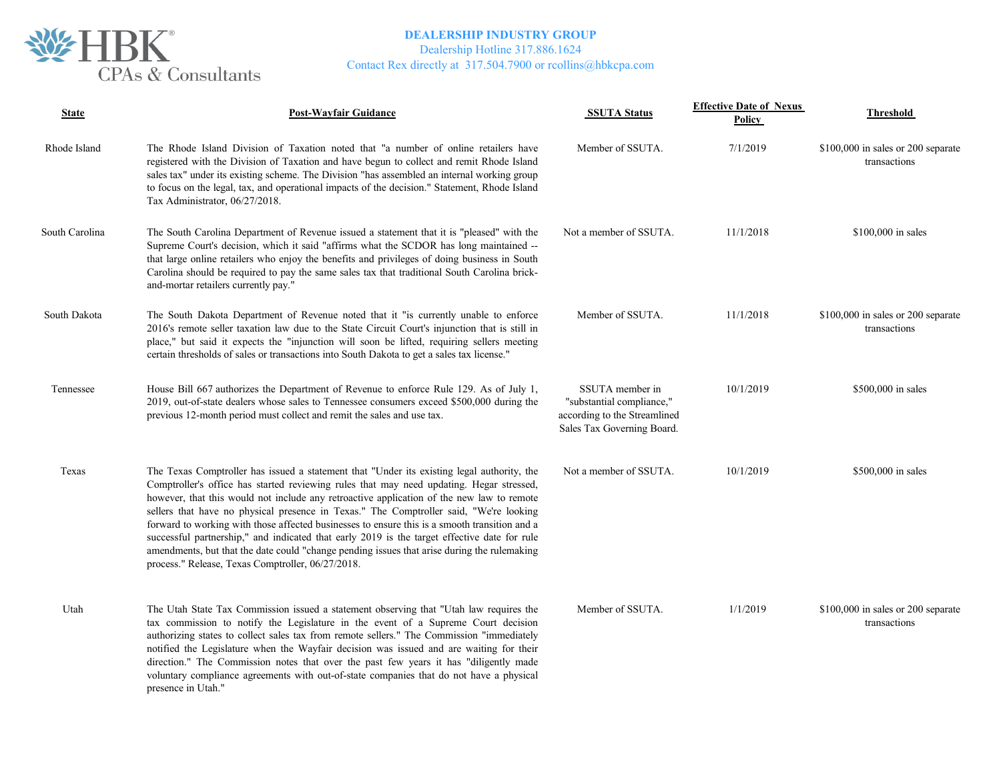

Dealership Hotline 317.886.1624

| <b>State</b>   | <b>Post-Wayfair Guidance</b>                                                                                                                                                                                                                                                                                                                                                                                                                                                                                                                                                                                                                                                                                                       | <b>SSUTA Status</b>                                                                                        | <b>Effective Date of Nexus</b><br>Policy | <b>Threshold</b>                                    |
|----------------|------------------------------------------------------------------------------------------------------------------------------------------------------------------------------------------------------------------------------------------------------------------------------------------------------------------------------------------------------------------------------------------------------------------------------------------------------------------------------------------------------------------------------------------------------------------------------------------------------------------------------------------------------------------------------------------------------------------------------------|------------------------------------------------------------------------------------------------------------|------------------------------------------|-----------------------------------------------------|
| Rhode Island   | The Rhode Island Division of Taxation noted that "a number of online retailers have<br>registered with the Division of Taxation and have begun to collect and remit Rhode Island<br>sales tax" under its existing scheme. The Division "has assembled an internal working group<br>to focus on the legal, tax, and operational impacts of the decision." Statement, Rhode Island<br>Tax Administrator, 06/27/2018.                                                                                                                                                                                                                                                                                                                 | Member of SSUTA.                                                                                           | 7/1/2019                                 | \$100,000 in sales or 200 separate<br>transactions  |
| South Carolina | The South Carolina Department of Revenue issued a statement that it is "pleased" with the<br>Supreme Court's decision, which it said "affirms what the SCDOR has long maintained --<br>that large online retailers who enjoy the benefits and privileges of doing business in South<br>Carolina should be required to pay the same sales tax that traditional South Carolina brick-<br>and-mortar retailers currently pay."                                                                                                                                                                                                                                                                                                        | Not a member of SSUTA.                                                                                     | 11/1/2018                                | \$100,000 in sales                                  |
| South Dakota   | The South Dakota Department of Revenue noted that it "is currently unable to enforce<br>2016's remote seller taxation law due to the State Circuit Court's injunction that is still in<br>place," but said it expects the "injunction will soon be lifted, requiring sellers meeting<br>certain thresholds of sales or transactions into South Dakota to get a sales tax license."                                                                                                                                                                                                                                                                                                                                                 | Member of SSUTA.                                                                                           | 11/1/2018                                | $$100,000$ in sales or 200 separate<br>transactions |
| Tennessee      | House Bill 667 authorizes the Department of Revenue to enforce Rule 129. As of July 1,<br>2019, out-of-state dealers whose sales to Tennessee consumers exceed \$500,000 during the<br>previous 12-month period must collect and remit the sales and use tax.                                                                                                                                                                                                                                                                                                                                                                                                                                                                      | SSUTA member in<br>"substantial compliance,"<br>according to the Streamlined<br>Sales Tax Governing Board. | 10/1/2019                                | \$500,000 in sales                                  |
| Texas          | The Texas Comptroller has issued a statement that "Under its existing legal authority, the<br>Comptroller's office has started reviewing rules that may need updating. Hegar stressed,<br>however, that this would not include any retroactive application of the new law to remote<br>sellers that have no physical presence in Texas." The Comptroller said, "We're looking<br>forward to working with those affected businesses to ensure this is a smooth transition and a<br>successful partnership," and indicated that early 2019 is the target effective date for rule<br>amendments, but that the date could "change pending issues that arise during the rulemaking<br>process." Release, Texas Comptroller, 06/27/2018. | Not a member of SSUTA.                                                                                     | 10/1/2019                                | \$500,000 in sales                                  |
| Utah           | The Utah State Tax Commission issued a statement observing that "Utah law requires the<br>tax commission to notify the Legislature in the event of a Supreme Court decision<br>authorizing states to collect sales tax from remote sellers." The Commission "immediately<br>notified the Legislature when the Wayfair decision was issued and are waiting for their<br>direction." The Commission notes that over the past few years it has "diligently made<br>voluntary compliance agreements with out-of-state companies that do not have a physical<br>presence in Utah."                                                                                                                                                      | Member of SSUTA.                                                                                           | 1/1/2019                                 | \$100,000 in sales or 200 separate<br>transactions  |